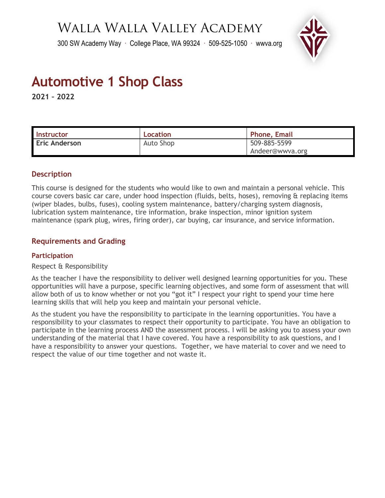## Walla Walla Valley Academy

300 SW Academy Way ∙ College Place, WA 99324 ∙ 509-525-1050 ∙ wwva.org



# **Automotive 1 Shop Class**

**2021 – 2022** 

| <b>Instructor</b>    | Location  | <b>Phone, Email</b> |
|----------------------|-----------|---------------------|
| <b>Eric Anderson</b> | Auto Shop | 509-885-5599        |
|                      |           | Andeer@wwva.org     |

## **Description**

This course is designed for the students who would like to own and maintain a personal vehicle. This course covers basic car care, under hood inspection (fluids, belts, hoses), removing & replacing items (wiper blades, bulbs, fuses), cooling system maintenance, battery/charging system diagnosis, lubrication system maintenance, tire information, brake inspection, minor ignition system maintenance (spark plug, wires, firing order), car buying, car insurance, and service information.

## **Requirements and Grading**

## **Participation**

## Respect & Responsibility

As the teacher I have the responsibility to deliver well designed learning opportunities for you. These opportunities will have a purpose, specific learning objectives, and some form of assessment that will allow both of us to know whether or not you "got it" I respect your right to spend your time here learning skills that will help you keep and maintain your personal vehicle.

As the student you have the responsibility to participate in the learning opportunities. You have a responsibility to your classmates to respect their opportunity to participate. You have an obligation to participate in the learning process AND the assessment process. I will be asking you to assess your own understanding of the material that I have covered. You have a responsibility to ask questions, and I have a responsibility to answer your questions. Together, we have material to cover and we need to respect the value of our time together and not waste it.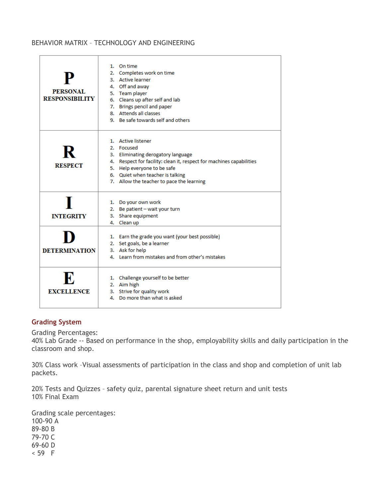## BEHAVIOR MATRIX – TECHNOLOGY AND ENGINEERING

| P<br>PERSONAL.<br><b>RESPONSIBILITY</b> | 1. On time<br>2. Completes work on time<br>3. Active learner<br>4. Off and away<br>5. Team player<br>6. Cleans up after self and lab<br>7. Brings pencil and paper<br>8. Attends all classes<br>9. Be safe towards self and others                             |
|-----------------------------------------|----------------------------------------------------------------------------------------------------------------------------------------------------------------------------------------------------------------------------------------------------------------|
| R<br><b>RESPECT</b>                     | 1. Active listener<br>2. Focused<br>3. Eliminating derogatory language<br>4. Respect for facility: clean it, respect for machines capabilities<br>5. Help everyone to be safe<br>6. Quiet when teacher is talking<br>7. Allow the teacher to pace the learning |
| <b>INTEGRITY</b>                        | 1. Do your own work<br>2. Be patient - wait your turn<br>3. Share equipment<br>4. Clean up                                                                                                                                                                     |
| <b>DETERMINATION</b>                    | 1. Earn the grade you want (your best possible)<br>2. Set goals, be a learner<br>3. Ask for help<br>4. Learn from mistakes and from other's mistakes                                                                                                           |
| R.<br><b>EXCELLENCE</b>                 | 1. Challenge yourself to be better<br>2. Aim high<br>3. Strive for quality work<br>4. Do more than what is asked                                                                                                                                               |

## **Grading System**

Grading Percentages:

40% Lab Grade -- Based on performance in the shop, employability skills and daily participation in the classroom and shop.

30% Class work –Visual assessments of participation in the class and shop and completion of unit lab packets.

20% Tests and Quizzes – safety quiz, parental signature sheet return and unit tests 10% Final Exam

Grading scale percentages: 100-90 A 89-80 B 79-70 C 69-60 D < 59 F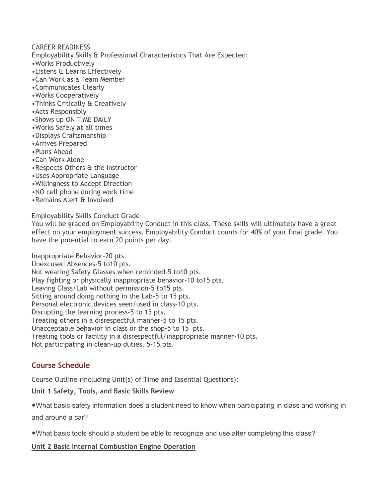CAREER READINESS Employability Skills & Professional Characteristics That Are Expected:

- •Works Productively
- •Listens & Learns Effectively
- •Can Work as a Team Member
- •Communicates Clearly
- •Works Cooperatively
- •Thinks Critically & Creatively
- •Acts Responsibly
- •Shows up ON TIME DAILY
- •Works Safely at all times
- •Displays Craftsmanship
- •Arrives Prepared
- •Plans Ahead
- •Can Work Alone
- •Respects Others & the Instructor
- •Uses Appropriate Language
- •Willingness to Accept Direction
- •NO cell phone during work time
- •Remains Alert & Involved

Employability Skills Conduct Grade

You will be graded on Employability Conduct in this class. These skills will ultimately have a great effect on your employment success. Employability Conduct counts for 40% of your final grade. You have the potential to earn 20 points per day.

Inappropriate Behavior-20 pts.

Unexcused Absences-5 to10 pts.

Not wearing Safety Glasses when reminded-5 to10 pts. Play fighting or physically inappropriate behavior-10 to15 pts. Leaving Class/Lab without permission-5 to15 pts. Sitting around doing nothing in the Lab-5 to 15 pts. Personal electronic devices seen/used in class-10 pts. Disrupting the learning process-5 to 15 pts. Treating others in a disrespectful manner-5 to 15 pts. Unacceptable behavior in class or the shop-5 to 15 pts. Treating tools or facility in a disrespectful/inappropriate manner-10 pts. Not participating in clean-up duties. 5-15 pts.

## **Course Schedule**

Course Outline (including Unit(s) of Time and Essential Questions):

## **Unit 1 Safety, Tools, and Basic Skills Review**

●What basic safety information does a student need to know when participating in class and working in and around a car?

●What basic tools should a student be able to recognize and use after completing this class?

**Unit 2 Basic Internal Combustion Engine Operation**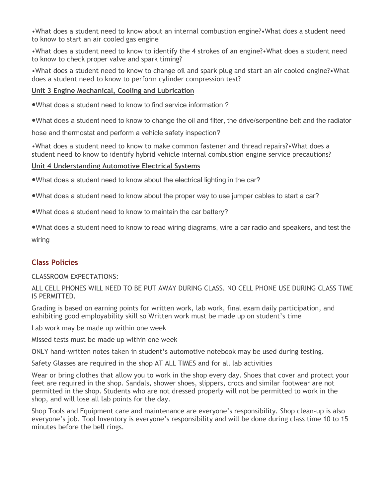•What does a student need to know about an internal combustion engine?•What does a student need to know to start an air cooled gas engine

•What does a student need to know to identify the 4 strokes of an engine?•What does a student need to know to check proper valve and spark timing?

•What does a student need to know to change oil and spark plug and start an air cooled engine?•What does a student need to know to perform cylinder compression test?

### **Unit 3 Engine Mechanical, Cooling and Lubrication**

●What does a student need to know to find service information ?

●What does a student need to know to change the oil and filter, the drive/serpentine belt and the radiator

hose and thermostat and perform a vehicle safety inspection?

•What does a student need to know to make common fastener and thread repairs?•What does a student need to know to identify hybrid vehicle internal combustion engine service precautions?

#### **Unit 4 Understanding Automotive Electrical Systems**

●What does a student need to know about the electrical lighting in the car?

●What does a student need to know about the proper way to use jumper cables to start a car?

●What does a student need to know to maintain the car battery?

●What does a student need to know to read wiring diagrams, wire a car radio and speakers, and test the wiring

## **Class Policies**

CLASSROOM EXPECTATIONS:

ALL CELL PHONES WILL NEED TO BE PUT AWAY DURING CLASS. NO CELL PHONE USE DURING CLASS TIME IS PERMITTED.

Grading is based on earning points for written work, lab work, final exam daily participation, and exhibiting good employability skill so Written work must be made up on student's time

Lab work may be made up within one week

Missed tests must be made up within one week

ONLY hand-written notes taken in student's automotive notebook may be used during testing.

Safety Glasses are required in the shop AT ALL TIMES and for all lab activities

Wear or bring clothes that allow you to work in the shop every day. Shoes that cover and protect your feet are required in the shop. Sandals, shower shoes, slippers, crocs and similar footwear are not permitted in the shop. Students who are not dressed properly will not be permitted to work in the shop, and will lose all lab points for the day.

Shop Tools and Equipment care and maintenance are everyone's responsibility. Shop clean-up is also everyone's job. Tool Inventory is everyone's responsibility and will be done during class time 10 to 15 minutes before the bell rings.